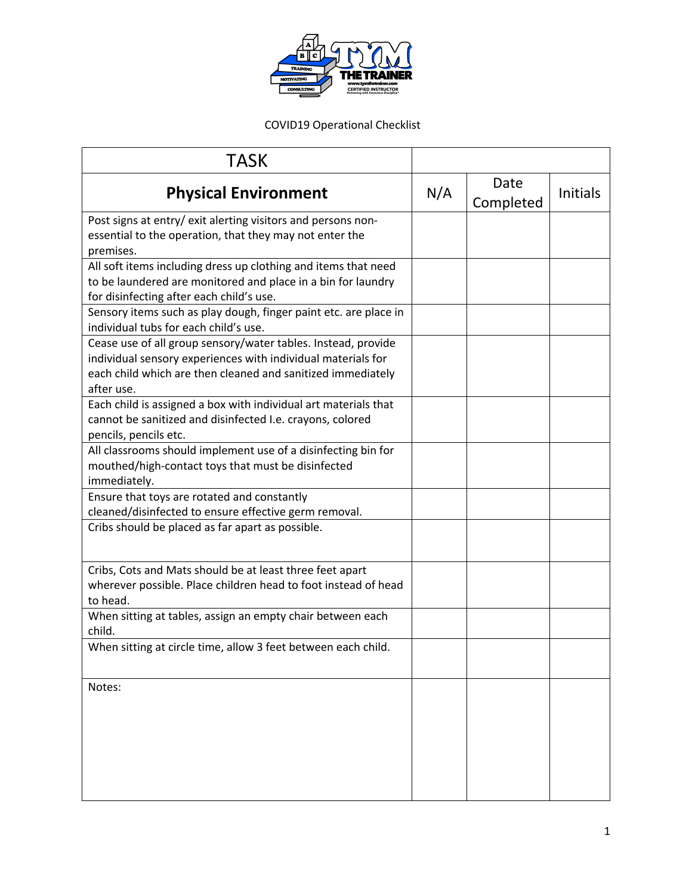

COVID19 Operational Checklist

| <b>TASK</b>                                                                                               |     |                   |                 |
|-----------------------------------------------------------------------------------------------------------|-----|-------------------|-----------------|
| <b>Physical Environment</b>                                                                               | N/A | Date<br>Completed | <b>Initials</b> |
| Post signs at entry/ exit alerting visitors and persons non-                                              |     |                   |                 |
| essential to the operation, that they may not enter the<br>premises.                                      |     |                   |                 |
| All soft items including dress up clothing and items that need                                            |     |                   |                 |
| to be laundered are monitored and place in a bin for laundry                                              |     |                   |                 |
| for disinfecting after each child's use.                                                                  |     |                   |                 |
| Sensory items such as play dough, finger paint etc. are place in<br>individual tubs for each child's use. |     |                   |                 |
| Cease use of all group sensory/water tables. Instead, provide                                             |     |                   |                 |
| individual sensory experiences with individual materials for                                              |     |                   |                 |
| each child which are then cleaned and sanitized immediately<br>after use.                                 |     |                   |                 |
| Each child is assigned a box with individual art materials that                                           |     |                   |                 |
| cannot be sanitized and disinfected I.e. crayons, colored                                                 |     |                   |                 |
| pencils, pencils etc.                                                                                     |     |                   |                 |
| All classrooms should implement use of a disinfecting bin for                                             |     |                   |                 |
| mouthed/high-contact toys that must be disinfected                                                        |     |                   |                 |
| immediately.                                                                                              |     |                   |                 |
| Ensure that toys are rotated and constantly                                                               |     |                   |                 |
| cleaned/disinfected to ensure effective germ removal.                                                     |     |                   |                 |
| Cribs should be placed as far apart as possible.                                                          |     |                   |                 |
| Cribs, Cots and Mats should be at least three feet apart                                                  |     |                   |                 |
| wherever possible. Place children head to foot instead of head                                            |     |                   |                 |
| to head.                                                                                                  |     |                   |                 |
| When sitting at tables, assign an empty chair between each<br>child.                                      |     |                   |                 |
| When sitting at circle time, allow 3 feet between each child.                                             |     |                   |                 |
| Notes:                                                                                                    |     |                   |                 |
|                                                                                                           |     |                   |                 |
|                                                                                                           |     |                   |                 |
|                                                                                                           |     |                   |                 |
|                                                                                                           |     |                   |                 |
|                                                                                                           |     |                   |                 |
|                                                                                                           |     |                   |                 |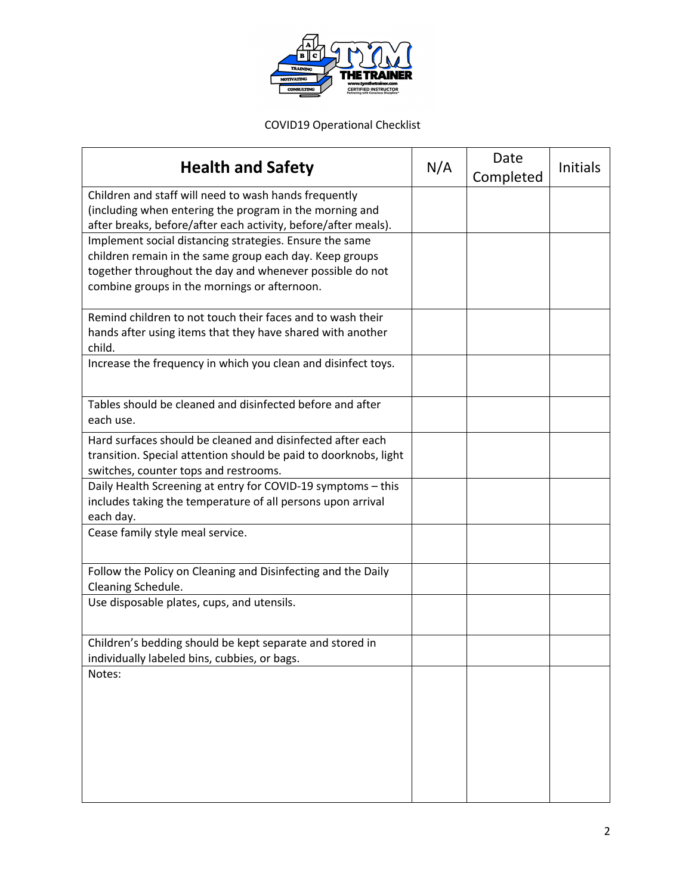

COVID19 Operational Checklist

| <b>Health and Safety</b>                                                                                                                                                                                                       | N/A | Date<br>Completed | <b>Initials</b> |
|--------------------------------------------------------------------------------------------------------------------------------------------------------------------------------------------------------------------------------|-----|-------------------|-----------------|
| Children and staff will need to wash hands frequently<br>(including when entering the program in the morning and<br>after breaks, before/after each activity, before/after meals).                                             |     |                   |                 |
| Implement social distancing strategies. Ensure the same<br>children remain in the same group each day. Keep groups<br>together throughout the day and whenever possible do not<br>combine groups in the mornings or afternoon. |     |                   |                 |
| Remind children to not touch their faces and to wash their<br>hands after using items that they have shared with another<br>child.                                                                                             |     |                   |                 |
| Increase the frequency in which you clean and disinfect toys.                                                                                                                                                                  |     |                   |                 |
| Tables should be cleaned and disinfected before and after<br>each use.                                                                                                                                                         |     |                   |                 |
| Hard surfaces should be cleaned and disinfected after each<br>transition. Special attention should be paid to doorknobs, light<br>switches, counter tops and restrooms.                                                        |     |                   |                 |
| Daily Health Screening at entry for COVID-19 symptoms - this<br>includes taking the temperature of all persons upon arrival<br>each day.                                                                                       |     |                   |                 |
| Cease family style meal service.                                                                                                                                                                                               |     |                   |                 |
| Follow the Policy on Cleaning and Disinfecting and the Daily<br>Cleaning Schedule.                                                                                                                                             |     |                   |                 |
| Use disposable plates, cups, and utensils.                                                                                                                                                                                     |     |                   |                 |
| Children's bedding should be kept separate and stored in<br>individually labeled bins, cubbies, or bags.                                                                                                                       |     |                   |                 |
| Notes:                                                                                                                                                                                                                         |     |                   |                 |